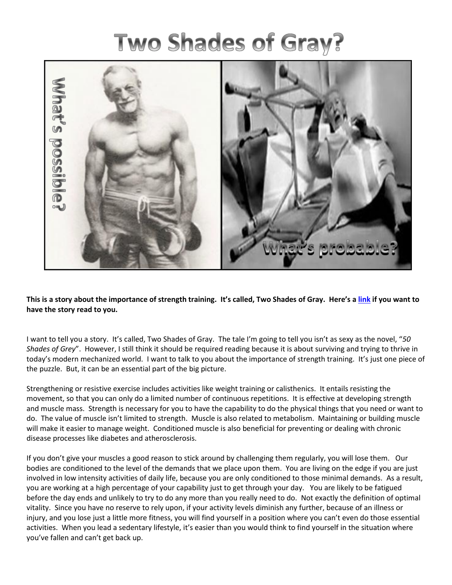## **Two Shades of Gray?**



**This is a story about the importance of strength training. It's called, Two Shades of Gray. Here's a [link](https://www.youtube.com/watch?v=hn_TIqSVCF8) if you want to have the story read to you.**

I want to tell you a story. It's called, Two Shades of Gray. The tale I'm going to tell you isn't as sexy as the novel, "*50 Shades of Grey*". However, I still think it should be required reading because it is about surviving and trying to thrive in today's modern mechanized world. I want to talk to you about the importance of strength training. It's just one piece of the puzzle. But, it can be an essential part of the big picture.

Strengthening or resistive exercise includes activities like weight training or calisthenics. It entails resisting the movement, so that you can only do a limited number of continuous repetitions. It is effective at developing strength and muscle mass. Strength is necessary for you to have the capability to do the physical things that you need or want to do. The value of muscle isn't limited to strength. Muscle is also related to metabolism. Maintaining or building muscle will make it easier to manage weight. Conditioned muscle is also beneficial for preventing or dealing with chronic disease processes like diabetes and atherosclerosis.

If you don't give your muscles a good reason to stick around by challenging them regularly, you will lose them. Our bodies are conditioned to the level of the demands that we place upon them. You are living on the edge if you are just involved in low intensity activities of daily life, because you are only conditioned to those minimal demands. As a result, you are working at a high percentage of your capability just to get through your day. You are likely to be fatigued before the day ends and unlikely to try to do any more than you really need to do. Not exactly the definition of optimal vitality. Since you have no reserve to rely upon, if your activity levels diminish any further, because of an illness or injury, and you lose just a little more fitness, you will find yourself in a position where you can't even do those essential activities. When you lead a sedentary lifestyle, it's easier than you would think to find yourself in the situation where you've fallen and can't get back up.